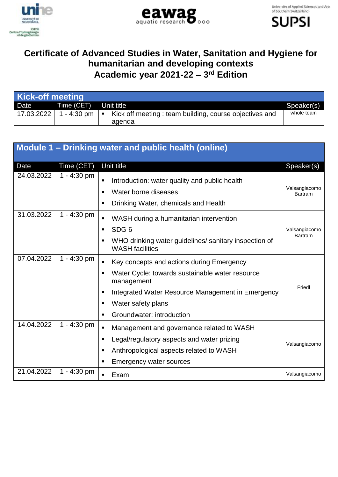





## **Certificate of Advanced Studies in Water, Sanitation and Hygiene for humanitarian and developing contexts Academic year 2021-22 – 3 rd Edition**

| Kick-off meeting |                          |                                                           |            |
|------------------|--------------------------|-----------------------------------------------------------|------------|
| Date             | Time (CET)               | Unit title                                                | Speaker(s) |
|                  | 17.03.2022   1 - 4:30 pm | ■ Kick off meeting : team building, course objectives and | whole team |
|                  |                          | adenda                                                    |            |

|            |               | Module 1 – Drinking water and public health (online)                                                                                                                                                                                                                               |                                 |
|------------|---------------|------------------------------------------------------------------------------------------------------------------------------------------------------------------------------------------------------------------------------------------------------------------------------------|---------------------------------|
| Date       | Time (CET)    | Unit title                                                                                                                                                                                                                                                                         | Speaker(s)                      |
| 24.03.2022 | $1 - 4:30$ pm | Introduction: water quality and public health<br>п<br>Water borne diseases<br>$\blacksquare$<br>Drinking Water, chemicals and Health<br>п                                                                                                                                          | Valsangiacomo<br><b>Bartram</b> |
| 31.03.2022 | 1 - 4:30 pm   | WASH during a humanitarian intervention<br>$\blacksquare$<br>SDG <sub>6</sub><br>$\blacksquare$<br>WHO drinking water guidelines/ sanitary inspection of<br>п<br><b>WASH</b> facilities                                                                                            | Valsangiacomo<br><b>Bartram</b> |
| 07.04.2022 | 1 - 4:30 pm   | Key concepts and actions during Emergency<br>$\blacksquare$<br>Water Cycle: towards sustainable water resource<br>$\blacksquare$<br>management<br>Integrated Water Resource Management in Emergency<br>п<br>Water safety plans<br>п<br>Groundwater: introduction<br>$\blacksquare$ | Friedl                          |
| 14.04.2022 | $1 - 4:30$ pm | Management and governance related to WASH<br>$\blacksquare$<br>Legal/regulatory aspects and water prizing<br>п<br>Anthropological aspects related to WASH<br>п<br><b>Emergency water sources</b><br>г                                                                              | Valsangiacomo                   |
| 21.04.2022 | $1 - 4:30$ pm | Exam<br>$\blacksquare$                                                                                                                                                                                                                                                             | Valsangiacomo                   |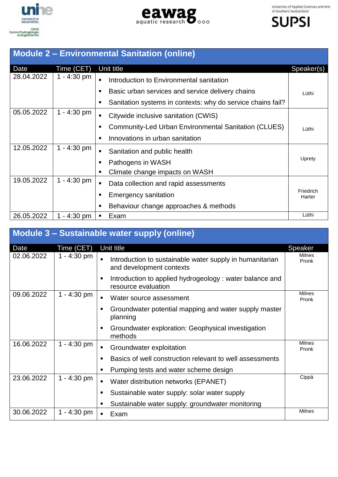

unine **UNIVERSITÉ DE**<br>NEUCHÂTEL CHYN<br>Centre d'hydrogèologie<br>et de géothermie





| <b>Module 2 - Environmental Sanitation (online)</b> |               |                                                                  |                     |
|-----------------------------------------------------|---------------|------------------------------------------------------------------|---------------------|
| Date                                                | Time (CET)    | Unit title                                                       | Speaker(s)          |
| 28.04.2022                                          | $1 - 4:30$ pm | Introduction to Environmental sanitation<br>٠                    |                     |
|                                                     |               | Basic urban services and service delivery chains<br>п            | Lüthi               |
|                                                     |               | Sanitation systems in contexts: why do service chains fail?<br>п |                     |
| 05.05.2022                                          | 1 - 4:30 pm   | Citywide inclusive sanitation (CWIS)<br>$\blacksquare$           |                     |
|                                                     |               | Community-Led Urban Environmental Sanitation (CLUES)<br>п        | Lüthi               |
|                                                     |               | Innovations in urban sanitation<br>п                             |                     |
| 12.05.2022                                          | $1 - 4:30$ pm | Sanitation and public health<br>٠                                |                     |
|                                                     |               | Pathogens in WASH<br>п                                           | Uprety              |
|                                                     |               | Climate change impacts on WASH<br>п                              |                     |
| 19.05.2022                                          | $1 - 4:30$ pm | Data collection and rapid assessments<br>٠                       |                     |
|                                                     |               | <b>Emergency sanitation</b><br>п                                 | Friedrich<br>Harter |
|                                                     |               | Behaviour change approaches & methods<br>п                       |                     |
| 26.05.2022                                          | 1 - 4:30 pm   | Exam<br>п                                                        | Lüthi               |

| Module 3 - Sustainable water supply (online) |               |                                                                                      |                        |
|----------------------------------------------|---------------|--------------------------------------------------------------------------------------|------------------------|
| Date                                         | Time (CET)    | Unit title                                                                           | Speaker                |
| 02.06.2022                                   | 1 - 4:30 pm   | Introduction to sustainable water supply in humanitarian<br>and development contexts | <b>Milnes</b><br>Pronk |
|                                              |               | Introduction to applied hydrogeology: water balance and<br>п<br>resource evaluation  |                        |
| 09.06.2022                                   | $1 - 4:30$ pm | Water source assessment                                                              | Milnes<br>Pronk        |
|                                              |               | Groundwater potential mapping and water supply master<br>п<br>planning               |                        |
|                                              |               | Groundwater exploration: Geophysical investigation<br>п<br>methods                   |                        |
| 16.06.2022                                   | $1 - 4:30$ pm | Groundwater exploitation<br>$\blacksquare$                                           | <b>Milnes</b><br>Pronk |
|                                              |               | Basics of well construction relevant to well assessments<br>п                        |                        |
|                                              |               | Pumping tests and water scheme design<br>п                                           |                        |
| 23.06.2022                                   | $1 - 4:30$ pm | Water distribution networks (EPANET)<br>П                                            | Cippà                  |
|                                              |               | Sustainable water supply: solar water supply<br>п                                    |                        |
|                                              |               | Sustainable water supply: groundwater monitoring<br>п                                |                        |
| 30.06.2022                                   | 1 - 4:30 pm   | Exam<br>٠                                                                            | Milnes                 |